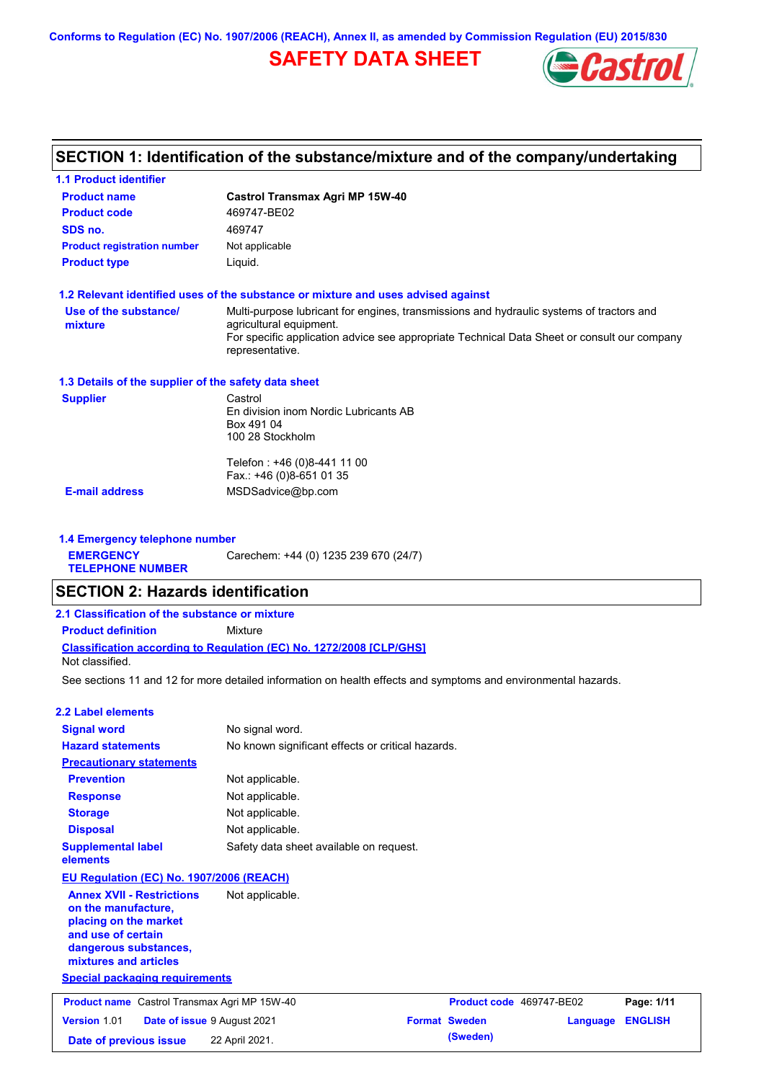**Conforms to Regulation (EC) No. 1907/2006 (REACH), Annex II, as amended by Commission Regulation (EU) 2015/830**

# **SAFETY DATA SHEET**



#### **Castrol Transmax Agri MP 15W-40 Product name 1.1 Product identifier 1.3 Details of the supplier of the safety data sheet Product type Liquid. E-mail address** MSDSadvice@bp.com **1.2 Relevant identified uses of the substance or mixture and uses advised against SECTION 1: Identification of the substance/mixture and of the company/undertaking Product code 469747-BE02 1.4 Emergency telephone number EMERGENCY TELEPHONE NUMBER** Carechem: +44 (0) 1235 239 670 (24/7) **Supplier** Castrol En division inom Nordic Lubricants AB Box 491 04 100 28 Stockholm Telefon : +46 (0)8-441 11 00 Fax.: +46 (0)8-651 01 35 **SDS no.** 469747 **Use of the substance/ mixture** Multi-purpose lubricant for engines, transmissions and hydraulic systems of tractors and agricultural equipment. For specific application advice see appropriate Technical Data Sheet or consult our company representative. **Product registration number** Not applicable See sections 11 and 12 for more detailed information on health effects and symptoms and environmental hazards. **Classification according to Regulation (EC) No. 1272/2008 [CLP/GHS] SECTION 2: Hazards identification 2.1 Classification of the substance or mixture Product definition** Mixture **2.2 Label elements Signal word Hazard statements Prevention Precautionary statements Response Storage Disposal** No signal word. No known significant effects or critical hazards. Not applicable. Not applicable. Not applicable. Not applicable. **Supplemental label elements** Safety data sheet available on request. **Special packaging requirements** Not classified. **EU Regulation (EC) No. 1907/2006 (REACH) Annex XVII - Restrictions on the manufacture, placing on the market and use of certain dangerous substances, mixtures and articles** Not applicable. **Product name** Castrol Transmax Agri MP 15W-40 **Product Code** 469747-BE02 **Page: 1/11 Version** 1.01 **Date of issue** 9 August 2021 **Format Sweden Language ENGLISH**

**Date of previous issue 22 April 2021. (Sweden) (Sweden)**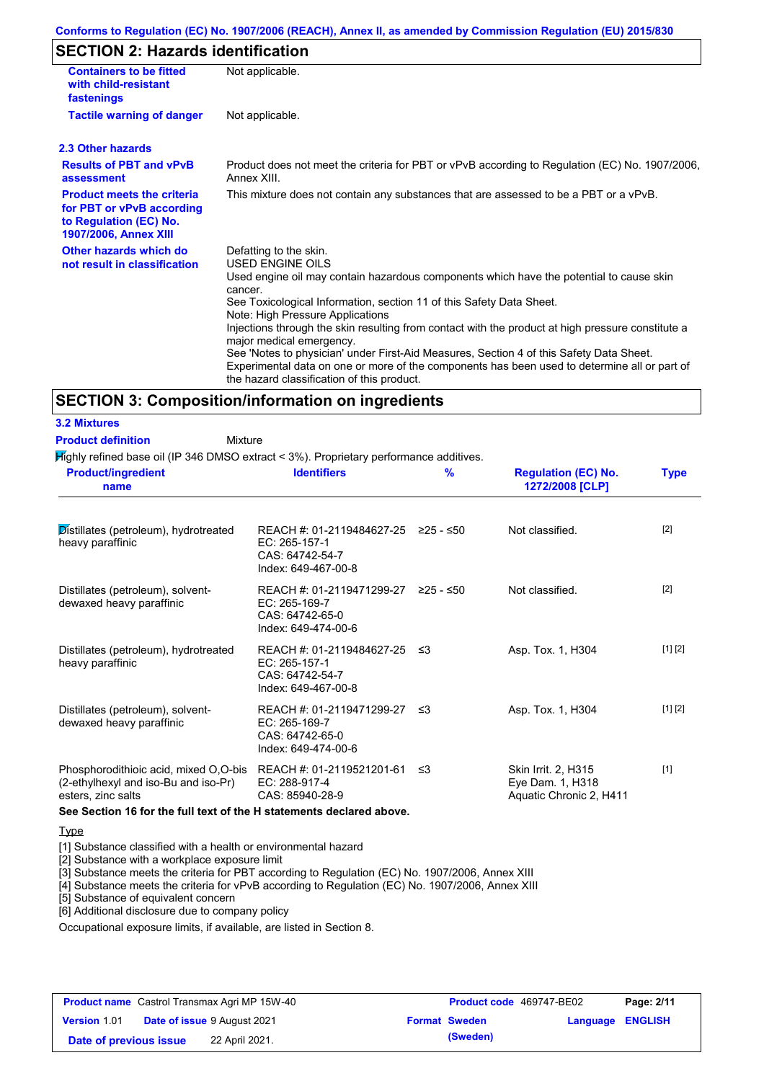### **Conforms to Regulation (EC) No. 1907/2006 (REACH), Annex II, as amended by Commission Regulation (EU) 2015/830**

### **SECTION 2: Hazards identification**

| <b>Containers to be fitted</b><br>with child-resistant<br>fastenings                                                     | Not applicable.                                                                                                                                                                                                                                                                                                                                                                                                                                                                                                                                                                                                                        |
|--------------------------------------------------------------------------------------------------------------------------|----------------------------------------------------------------------------------------------------------------------------------------------------------------------------------------------------------------------------------------------------------------------------------------------------------------------------------------------------------------------------------------------------------------------------------------------------------------------------------------------------------------------------------------------------------------------------------------------------------------------------------------|
| <b>Tactile warning of danger</b>                                                                                         | Not applicable.                                                                                                                                                                                                                                                                                                                                                                                                                                                                                                                                                                                                                        |
| 2.3 Other hazards                                                                                                        |                                                                                                                                                                                                                                                                                                                                                                                                                                                                                                                                                                                                                                        |
| <b>Results of PBT and vPvB</b><br>assessment                                                                             | Product does not meet the criteria for PBT or vPvB according to Regulation (EC) No. 1907/2006,<br>Annex XIII.                                                                                                                                                                                                                                                                                                                                                                                                                                                                                                                          |
| <b>Product meets the criteria</b><br>for PBT or vPvB according<br>to Regulation (EC) No.<br><b>1907/2006, Annex XIII</b> | This mixture does not contain any substances that are assessed to be a PBT or a vPvB.                                                                                                                                                                                                                                                                                                                                                                                                                                                                                                                                                  |
| Other hazards which do<br>not result in classification                                                                   | Defatting to the skin.<br>USED ENGINE OILS<br>Used engine oil may contain hazardous components which have the potential to cause skin<br>cancer.<br>See Toxicological Information, section 11 of this Safety Data Sheet.<br>Note: High Pressure Applications<br>Injections through the skin resulting from contact with the product at high pressure constitute a<br>major medical emergency.<br>See 'Notes to physician' under First-Aid Measures, Section 4 of this Safety Data Sheet.<br>Experimental data on one or more of the components has been used to determine all or part of<br>the hazard classification of this product. |

### **SECTION 3: Composition/information on ingredients**

**3.2 Mixtures**

**Product definition**

Mixture

Highly refined base oil (IP 346 DMSO extract < 3%). Proprietary performance additives.

| <b>Product/ingredient</b><br>name                                                                                             | <b>Identifiers</b>                                                                             | $\frac{9}{6}$ | <b>Regulation (EC) No.</b><br>1272/2008 [CLP]                      | <b>Type</b> |
|-------------------------------------------------------------------------------------------------------------------------------|------------------------------------------------------------------------------------------------|---------------|--------------------------------------------------------------------|-------------|
| Distillates (petroleum), hydrotreated<br>heavy paraffinic                                                                     | REACH #: 01-2119484627-25 ≥25 - ≤50<br>EC: 265-157-1<br>CAS: 64742-54-7<br>Index: 649-467-00-8 |               | Not classified.                                                    | $[2]$       |
| Distillates (petroleum), solvent-<br>dewaxed heavy paraffinic                                                                 | REACH #: 01-2119471299-27 ≥25 - ≤50<br>EC: 265-169-7<br>CAS: 64742-65-0<br>Index: 649-474-00-6 |               | Not classified.                                                    | $[2]$       |
| Distillates (petroleum), hydrotreated<br>heavy paraffinic                                                                     | REACH #: 01-2119484627-25 ≤3<br>EC: 265-157-1<br>CAS: 64742-54-7<br>Index: 649-467-00-8        |               | Asp. Tox. 1, H304                                                  | [1] [2]     |
| Distillates (petroleum), solvent-<br>dewaxed heavy paraffinic                                                                 | REACH #: 01-2119471299-27 ≤3<br>EC: 265-169-7<br>CAS: 64742-65-0<br>Index: 649-474-00-6        |               | Asp. Tox. 1, H304                                                  | [1] [2]     |
| Phosphorodithioic acid, mixed O,O-bis REACH #: 01-2119521201-61<br>(2-ethylhexyl and iso-Bu and iso-Pr)<br>esters, zinc salts | EC: 288-917-4<br>CAS: 85940-28-9                                                               | -≤3           | Skin Irrit. 2, H315<br>Eye Dam. 1, H318<br>Aquatic Chronic 2, H411 | $[1]$       |

**See Section 16 for the full text of the H statements declared above.**

**Type** 

[1] Substance classified with a health or environmental hazard

[2] Substance with a workplace exposure limit

[3] Substance meets the criteria for PBT according to Regulation (EC) No. 1907/2006, Annex XIII

[4] Substance meets the criteria for vPvB according to Regulation (EC) No. 1907/2006, Annex XIII

[5] Substance of equivalent concern

[6] Additional disclosure due to company policy

Occupational exposure limits, if available, are listed in Section 8.

| <b>Product name</b> Castrol Transmax Agri MP 15W-40 |  | <b>Product code</b> 469747-BE02    |  | Page: 2/11           |                  |  |
|-----------------------------------------------------|--|------------------------------------|--|----------------------|------------------|--|
| <b>Version 1.01</b>                                 |  | <b>Date of issue 9 August 2021</b> |  | <b>Format Sweden</b> | Language ENGLISH |  |
| Date of previous issue                              |  | 22 April 2021.                     |  | (Sweden)             |                  |  |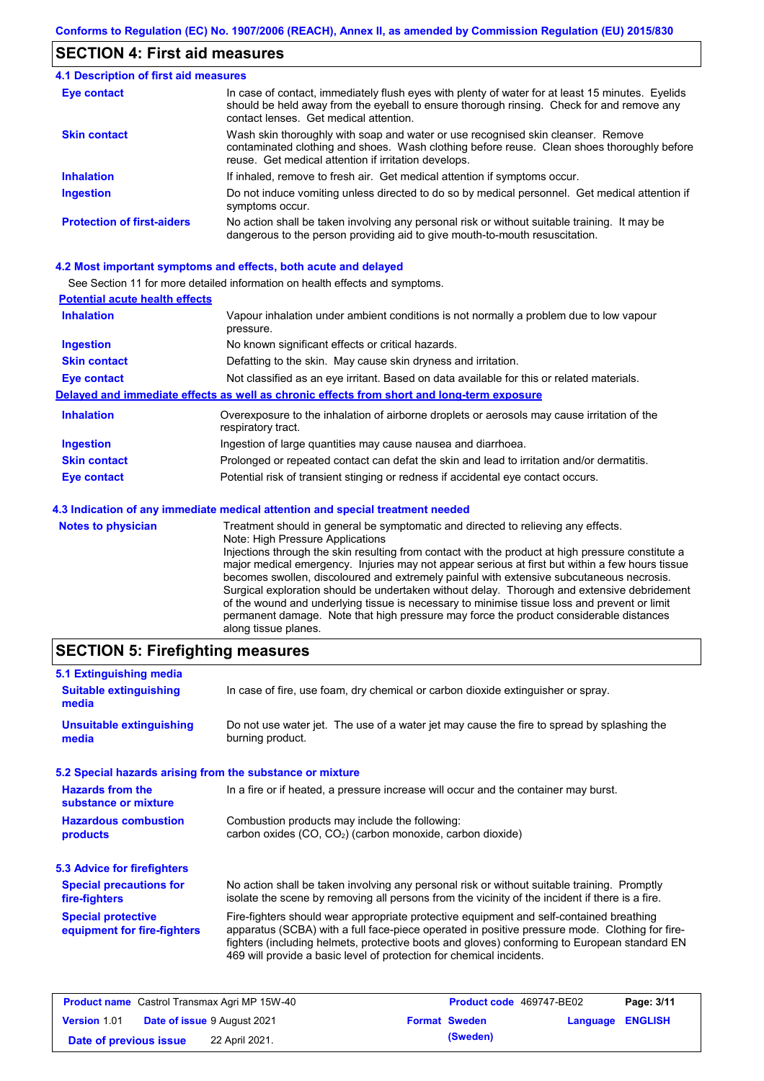### **SECTION 4: First aid measures**

#### Do not induce vomiting unless directed to do so by medical personnel. Get medical attention if symptoms occur. In case of contact, immediately flush eyes with plenty of water for at least 15 minutes. Eyelids should be held away from the eyeball to ensure thorough rinsing. Check for and remove any contact lenses. Get medical attention. **4.1 Description of first aid measures** If inhaled, remove to fresh air. Get medical attention if symptoms occur. **Ingestion Inhalation Eye contact Protection of first-aiders** No action shall be taken involving any personal risk or without suitable training. It may be dangerous to the person providing aid to give mouth-to-mouth resuscitation. **Skin contact** Wash skin thoroughly with soap and water or use recognised skin cleanser. Remove contaminated clothing and shoes. Wash clothing before reuse. Clean shoes thoroughly before reuse. Get medical attention if irritation develops.

### **4.2 Most important symptoms and effects, both acute and delayed**

See Section 11 for more detailed information on health effects and symptoms.

| <b>Potential acute health effects</b> |                                                                                                                   |  |  |  |
|---------------------------------------|-------------------------------------------------------------------------------------------------------------------|--|--|--|
| <b>Inhalation</b>                     | Vapour inhalation under ambient conditions is not normally a problem due to low vapour<br>pressure.               |  |  |  |
| <b>Ingestion</b>                      | No known significant effects or critical hazards.                                                                 |  |  |  |
| <b>Skin contact</b>                   | Defatting to the skin. May cause skin dryness and irritation.                                                     |  |  |  |
| <b>Eye contact</b>                    | Not classified as an eye irritant. Based on data available for this or related materials.                         |  |  |  |
|                                       | Delayed and immediate effects as well as chronic effects from short and long-term exposure                        |  |  |  |
| <b>Inhalation</b>                     | Overexposure to the inhalation of airborne droplets or aerosols may cause irritation of the<br>respiratory tract. |  |  |  |
| <b>Ingestion</b>                      | Ingestion of large quantities may cause nausea and diarrhoea.                                                     |  |  |  |
| <b>Skin contact</b>                   | Prolonged or repeated contact can defat the skin and lead to irritation and/or dermatitis.                        |  |  |  |
| Eye contact                           | Potential risk of transient stinging or redness if accidental eye contact occurs.                                 |  |  |  |
|                                       | 4.3 Indication of any immediate medical attention and special treatment needed                                    |  |  |  |
| Notes to physician                    | Treatment should in general he symptomatic and directed to relieving any effects                                  |  |  |  |

**es to physician** Treatment should in general be symptomatic and directed to relieving any effects. Note: High Pressure Applications Injections through the skin resulting from contact with the product at high pressure constitute a major medical emergency. Injuries may not appear serious at first but within a few hours tissue becomes swollen, discoloured and extremely painful with extensive subcutaneous necrosis. Surgical exploration should be undertaken without delay. Thorough and extensive debridement of the wound and underlying tissue is necessary to minimise tissue loss and prevent or limit permanent damage. Note that high pressure may force the product considerable distances along tissue planes.

### **SECTION 5: Firefighting measures**

| 5.1 Extinguishing media                                   |                                                                                                                                                                                                                                                                                                                                                                   |  |  |
|-----------------------------------------------------------|-------------------------------------------------------------------------------------------------------------------------------------------------------------------------------------------------------------------------------------------------------------------------------------------------------------------------------------------------------------------|--|--|
| <b>Suitable extinguishing</b><br>media                    | In case of fire, use foam, dry chemical or carbon dioxide extinguisher or spray.                                                                                                                                                                                                                                                                                  |  |  |
| <b>Unsuitable extinguishing</b><br>media                  | Do not use water jet. The use of a water jet may cause the fire to spread by splashing the<br>burning product.                                                                                                                                                                                                                                                    |  |  |
| 5.2 Special hazards arising from the substance or mixture |                                                                                                                                                                                                                                                                                                                                                                   |  |  |
| <b>Hazards from the</b><br>substance or mixture           | In a fire or if heated, a pressure increase will occur and the container may burst.                                                                                                                                                                                                                                                                               |  |  |
| <b>Hazardous combustion</b><br>products                   | Combustion products may include the following:<br>carbon oxides (CO, CO <sub>2</sub> ) (carbon monoxide, carbon dioxide)                                                                                                                                                                                                                                          |  |  |
| 5.3 Advice for firefighters                               |                                                                                                                                                                                                                                                                                                                                                                   |  |  |
| <b>Special precautions for</b><br>fire-fighters           | No action shall be taken involving any personal risk or without suitable training. Promptly<br>isolate the scene by removing all persons from the vicinity of the incident if there is a fire.                                                                                                                                                                    |  |  |
| <b>Special protective</b><br>equipment for fire-fighters  | Fire-fighters should wear appropriate protective equipment and self-contained breathing<br>apparatus (SCBA) with a full face-piece operated in positive pressure mode. Clothing for fire-<br>fighters (including helmets, protective boots and gloves) conforming to European standard EN<br>469 will provide a basic level of protection for chemical incidents. |  |  |

| <b>Product name</b> Castrol Transmax Agri MP 15W-40       |                | <b>Product code</b> 469747-BE02 |                      | Page: 3/11              |  |
|-----------------------------------------------------------|----------------|---------------------------------|----------------------|-------------------------|--|
| <b>Date of issue 9 August 2021</b><br><b>Version 1.01</b> |                |                                 | <b>Format Sweden</b> | <b>Language ENGLISH</b> |  |
| Date of previous issue                                    | 22 April 2021. |                                 | (Sweden)             |                         |  |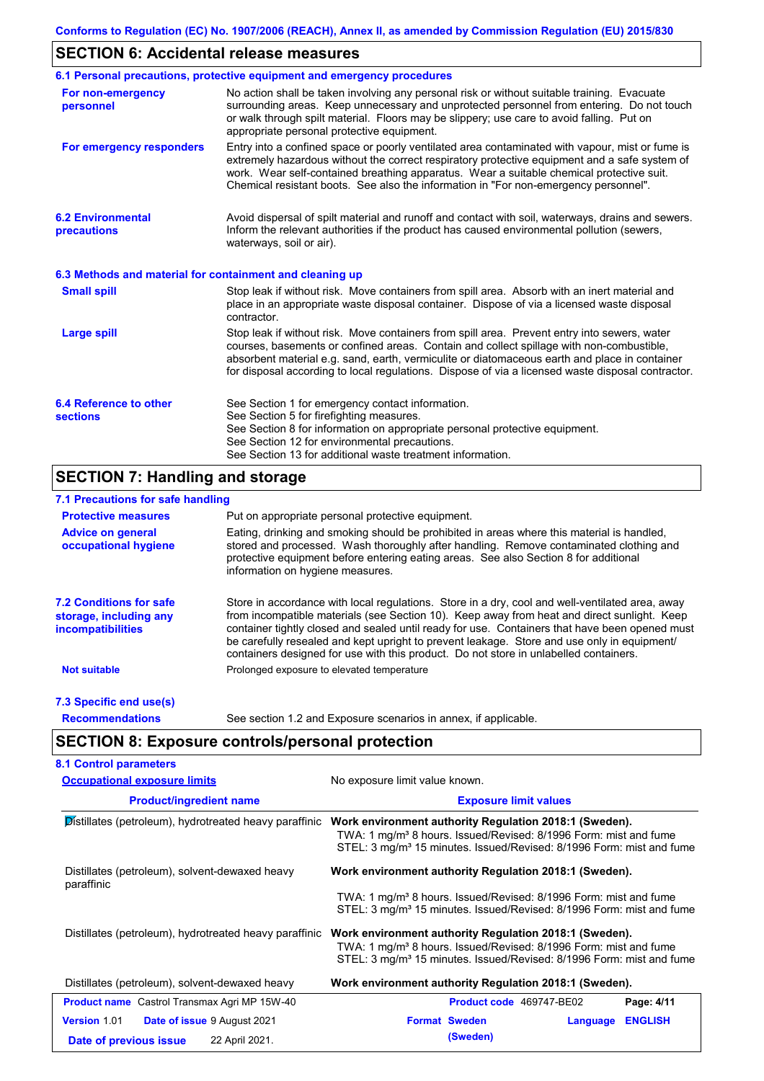### **SECTION 6: Accidental release measures**

|                                                          | 6.1 Personal precautions, protective equipment and emergency procedures                                                                                                                                                                                                                                                                                                                        |  |  |  |
|----------------------------------------------------------|------------------------------------------------------------------------------------------------------------------------------------------------------------------------------------------------------------------------------------------------------------------------------------------------------------------------------------------------------------------------------------------------|--|--|--|
| For non-emergency<br>personnel                           | No action shall be taken involving any personal risk or without suitable training. Evacuate<br>surrounding areas. Keep unnecessary and unprotected personnel from entering. Do not touch<br>or walk through spilt material. Floors may be slippery; use care to avoid falling. Put on<br>appropriate personal protective equipment.                                                            |  |  |  |
| For emergency responders                                 | Entry into a confined space or poorly ventilated area contaminated with vapour, mist or fume is<br>extremely hazardous without the correct respiratory protective equipment and a safe system of<br>work. Wear self-contained breathing apparatus. Wear a suitable chemical protective suit.<br>Chemical resistant boots. See also the information in "For non-emergency personnel".           |  |  |  |
| <b>6.2 Environmental</b><br>precautions                  | Avoid dispersal of spilt material and runoff and contact with soil, waterways, drains and sewers.<br>Inform the relevant authorities if the product has caused environmental pollution (sewers,<br>waterways, soil or air).                                                                                                                                                                    |  |  |  |
| 6.3 Methods and material for containment and cleaning up |                                                                                                                                                                                                                                                                                                                                                                                                |  |  |  |
| <b>Small spill</b>                                       | Stop leak if without risk. Move containers from spill area. Absorb with an inert material and<br>place in an appropriate waste disposal container. Dispose of via a licensed waste disposal<br>contractor.                                                                                                                                                                                     |  |  |  |
| <b>Large spill</b>                                       | Stop leak if without risk. Move containers from spill area. Prevent entry into sewers, water<br>courses, basements or confined areas. Contain and collect spillage with non-combustible,<br>absorbent material e.g. sand, earth, vermiculite or diatomaceous earth and place in container<br>for disposal according to local regulations. Dispose of via a licensed waste disposal contractor. |  |  |  |
| 6.4 Reference to other<br><b>sections</b>                | See Section 1 for emergency contact information.<br>See Section 5 for firefighting measures.<br>See Section 8 for information on appropriate personal protective equipment.<br>See Section 12 for environmental precautions.<br>See Section 13 for additional waste treatment information.                                                                                                     |  |  |  |

## **SECTION 7: Handling and storage**

### **7.1 Precautions for safe handling**

| <b>Protective measures</b>                                                           | Put on appropriate personal protective equipment.                                                                                                                                                                                                                                                                                                                                                                                                                                        |  |  |  |  |  |
|--------------------------------------------------------------------------------------|------------------------------------------------------------------------------------------------------------------------------------------------------------------------------------------------------------------------------------------------------------------------------------------------------------------------------------------------------------------------------------------------------------------------------------------------------------------------------------------|--|--|--|--|--|
| <b>Advice on general</b><br>occupational hygiene                                     | Eating, drinking and smoking should be prohibited in areas where this material is handled,<br>stored and processed. Wash thoroughly after handling. Remove contaminated clothing and<br>protective equipment before entering eating areas. See also Section 8 for additional<br>information on hygiene measures.                                                                                                                                                                         |  |  |  |  |  |
| <b>7.2 Conditions for safe</b><br>storage, including any<br><i>incompatibilities</i> | Store in accordance with local requiations. Store in a dry, cool and well-ventilated area, away<br>from incompatible materials (see Section 10). Keep away from heat and direct sunlight. Keep<br>container tightly closed and sealed until ready for use. Containers that have been opened must<br>be carefully resealed and kept upright to prevent leakage. Store and use only in equipment/<br>containers designed for use with this product. Do not store in unlabelled containers. |  |  |  |  |  |
| <b>Not suitable</b>                                                                  | Prolonged exposure to elevated temperature                                                                                                                                                                                                                                                                                                                                                                                                                                               |  |  |  |  |  |
| 7.3 Specific end use(s)                                                              |                                                                                                                                                                                                                                                                                                                                                                                                                                                                                          |  |  |  |  |  |
| <b>Recommendations</b>                                                               | See section 1.2 and Exposure scenarios in annex, if applicable.                                                                                                                                                                                                                                                                                                                                                                                                                          |  |  |  |  |  |

# **SECTION 8: Exposure controls/personal protection**

| <b>Occupational exposure limits</b>                    | No exposure limit value known.                                                                                                                                                                                             |  |  |
|--------------------------------------------------------|----------------------------------------------------------------------------------------------------------------------------------------------------------------------------------------------------------------------------|--|--|
| <b>Product/ingredient name</b>                         | <b>Exposure limit values</b>                                                                                                                                                                                               |  |  |
| Distillates (petroleum), hydrotreated heavy paraffinic | Work environment authority Regulation 2018:1 (Sweden).<br>TWA: 1 mg/m <sup>3</sup> 8 hours. Issued/Revised: 8/1996 Form: mist and fume<br>STEL: 3 mg/m <sup>3</sup> 15 minutes. Issued/Revised: 8/1996 Form: mist and fume |  |  |
| Distillates (petroleum), solvent-dewaxed heavy         | Work environment authority Regulation 2018:1 (Sweden).                                                                                                                                                                     |  |  |
| paraffinic                                             | TWA: 1 mg/m <sup>3</sup> 8 hours. Issued/Revised: 8/1996 Form: mist and fume<br>STEL: 3 mg/m <sup>3</sup> 15 minutes. Issued/Revised: 8/1996 Form: mist and fume                                                           |  |  |
| Distillates (petroleum), hydrotreated heavy paraffinic | Work environment authority Regulation 2018:1 (Sweden).<br>TWA: 1 mg/m <sup>3</sup> 8 hours. Issued/Revised: 8/1996 Form: mist and fume<br>STEL: 3 mg/m <sup>3</sup> 15 minutes. Issued/Revised: 8/1996 Form: mist and fume |  |  |
| Distillates (petroleum), solvent-dewaxed heavy         | Work environment authority Regulation 2018:1 (Sweden).                                                                                                                                                                     |  |  |
| <b>Product name</b> Castrol Transmax Agri MP 15W-40    | Product code 469747-BE02<br>Page: 4/11                                                                                                                                                                                     |  |  |
| <b>Version 1.01</b><br>Date of issue 9 August 2021     | <b>Format Sweden</b><br><b>ENGLISH</b><br>Language                                                                                                                                                                         |  |  |
| 22 April 2021.<br>Date of previous issue               | (Sweden)                                                                                                                                                                                                                   |  |  |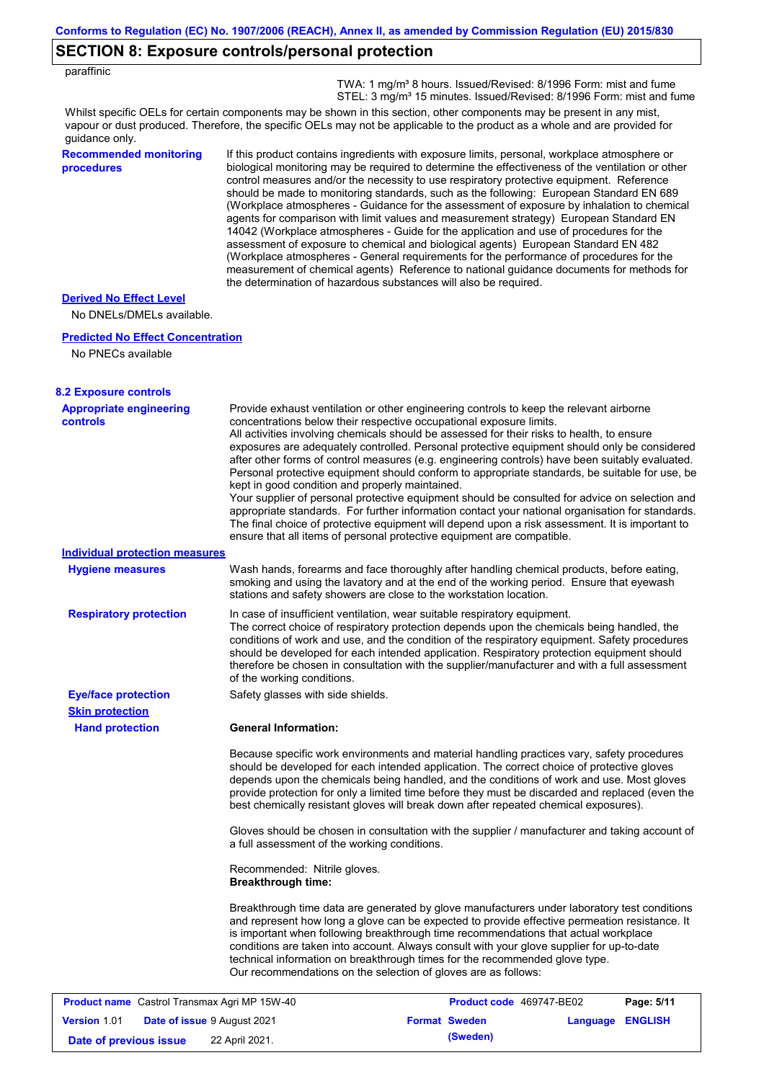### **SECTION 8: Exposure controls/personal protection**

 TWA: 1 mg/m³ 8 hours. Issued/Revised: 8/1996 Form: mist and fume STEL: 3 mg/m<sup>3</sup> 15 minutes. Issued/Revised: 8/1996 Form: mist and fume

Whilst specific OELs for certain components may be shown in this section, other components may be present in any mist, vapour or dust produced. Therefore, the specific OELs may not be applicable to the product as a whole and are provided for guidance only.

#### **Recommended monitoring procedures**

If this product contains ingredients with exposure limits, personal, workplace atmosphere or biological monitoring may be required to determine the effectiveness of the ventilation or other control measures and/or the necessity to use respiratory protective equipment. Reference should be made to monitoring standards, such as the following: European Standard EN 689 (Workplace atmospheres - Guidance for the assessment of exposure by inhalation to chemical agents for comparison with limit values and measurement strategy) European Standard EN 14042 (Workplace atmospheres - Guide for the application and use of procedures for the assessment of exposure to chemical and biological agents) European Standard EN 482 (Workplace atmospheres - General requirements for the performance of procedures for the measurement of chemical agents) Reference to national guidance documents for methods for the determination of hazardous substances will also be required.

#### **Derived No Effect Level**

No DNELs/DMELs available.

#### **Predicted No Effect Concentration**

No PNECs available

| <b>8.2 Exposure controls</b>                        |                                                                                                                                                                                                                                                                                                                                                                                                                                                                                                                                                                                                                                                                                                                                                                                                                                                                                                                                                                                                         |                                                                                                                                                                                                                                                                                                                                                                                                                                                                         |                  |            |
|-----------------------------------------------------|---------------------------------------------------------------------------------------------------------------------------------------------------------------------------------------------------------------------------------------------------------------------------------------------------------------------------------------------------------------------------------------------------------------------------------------------------------------------------------------------------------------------------------------------------------------------------------------------------------------------------------------------------------------------------------------------------------------------------------------------------------------------------------------------------------------------------------------------------------------------------------------------------------------------------------------------------------------------------------------------------------|-------------------------------------------------------------------------------------------------------------------------------------------------------------------------------------------------------------------------------------------------------------------------------------------------------------------------------------------------------------------------------------------------------------------------------------------------------------------------|------------------|------------|
| <b>Appropriate engineering</b><br><b>controls</b>   | Provide exhaust ventilation or other engineering controls to keep the relevant airborne<br>concentrations below their respective occupational exposure limits.<br>All activities involving chemicals should be assessed for their risks to health, to ensure<br>exposures are adequately controlled. Personal protective equipment should only be considered<br>after other forms of control measures (e.g. engineering controls) have been suitably evaluated.<br>Personal protective equipment should conform to appropriate standards, be suitable for use, be<br>kept in good condition and properly maintained.<br>Your supplier of personal protective equipment should be consulted for advice on selection and<br>appropriate standards. For further information contact your national organisation for standards.<br>The final choice of protective equipment will depend upon a risk assessment. It is important to<br>ensure that all items of personal protective equipment are compatible. |                                                                                                                                                                                                                                                                                                                                                                                                                                                                         |                  |            |
| <b>Individual protection measures</b>               |                                                                                                                                                                                                                                                                                                                                                                                                                                                                                                                                                                                                                                                                                                                                                                                                                                                                                                                                                                                                         |                                                                                                                                                                                                                                                                                                                                                                                                                                                                         |                  |            |
| <b>Hygiene measures</b>                             | Wash hands, forearms and face thoroughly after handling chemical products, before eating,<br>smoking and using the lavatory and at the end of the working period. Ensure that eyewash<br>stations and safety showers are close to the workstation location.                                                                                                                                                                                                                                                                                                                                                                                                                                                                                                                                                                                                                                                                                                                                             |                                                                                                                                                                                                                                                                                                                                                                                                                                                                         |                  |            |
| <b>Respiratory protection</b>                       | of the working conditions.                                                                                                                                                                                                                                                                                                                                                                                                                                                                                                                                                                                                                                                                                                                                                                                                                                                                                                                                                                              | In case of insufficient ventilation, wear suitable respiratory equipment.<br>The correct choice of respiratory protection depends upon the chemicals being handled, the<br>conditions of work and use, and the condition of the respiratory equipment. Safety procedures<br>should be developed for each intended application. Respiratory protection equipment should<br>therefore be chosen in consultation with the supplier/manufacturer and with a full assessment |                  |            |
| <b>Eye/face protection</b>                          | Safety glasses with side shields.                                                                                                                                                                                                                                                                                                                                                                                                                                                                                                                                                                                                                                                                                                                                                                                                                                                                                                                                                                       |                                                                                                                                                                                                                                                                                                                                                                                                                                                                         |                  |            |
| <b>Skin protection</b>                              |                                                                                                                                                                                                                                                                                                                                                                                                                                                                                                                                                                                                                                                                                                                                                                                                                                                                                                                                                                                                         |                                                                                                                                                                                                                                                                                                                                                                                                                                                                         |                  |            |
| <b>Hand protection</b>                              | <b>General Information:</b>                                                                                                                                                                                                                                                                                                                                                                                                                                                                                                                                                                                                                                                                                                                                                                                                                                                                                                                                                                             |                                                                                                                                                                                                                                                                                                                                                                                                                                                                         |                  |            |
|                                                     | Because specific work environments and material handling practices vary, safety procedures<br>should be developed for each intended application. The correct choice of protective gloves<br>depends upon the chemicals being handled, and the conditions of work and use. Most gloves<br>provide protection for only a limited time before they must be discarded and replaced (even the<br>best chemically resistant gloves will break down after repeated chemical exposures).                                                                                                                                                                                                                                                                                                                                                                                                                                                                                                                        |                                                                                                                                                                                                                                                                                                                                                                                                                                                                         |                  |            |
|                                                     | Gloves should be chosen in consultation with the supplier / manufacturer and taking account of<br>a full assessment of the working conditions.                                                                                                                                                                                                                                                                                                                                                                                                                                                                                                                                                                                                                                                                                                                                                                                                                                                          |                                                                                                                                                                                                                                                                                                                                                                                                                                                                         |                  |            |
|                                                     | Recommended: Nitrile gloves.<br><b>Breakthrough time:</b>                                                                                                                                                                                                                                                                                                                                                                                                                                                                                                                                                                                                                                                                                                                                                                                                                                                                                                                                               |                                                                                                                                                                                                                                                                                                                                                                                                                                                                         |                  |            |
|                                                     | Breakthrough time data are generated by glove manufacturers under laboratory test conditions<br>and represent how long a glove can be expected to provide effective permeation resistance. It<br>is important when following breakthrough time recommendations that actual workplace<br>conditions are taken into account. Always consult with your glove supplier for up-to-date<br>technical information on breakthrough times for the recommended glove type.<br>Our recommendations on the selection of gloves are as follows:                                                                                                                                                                                                                                                                                                                                                                                                                                                                      |                                                                                                                                                                                                                                                                                                                                                                                                                                                                         |                  |            |
| <b>Product name</b> Castrol Transmax Agri MP 15W-40 |                                                                                                                                                                                                                                                                                                                                                                                                                                                                                                                                                                                                                                                                                                                                                                                                                                                                                                                                                                                                         | Product code 469747-BE02                                                                                                                                                                                                                                                                                                                                                                                                                                                |                  | Page: 5/11 |
| <b>Version 1.01</b><br>Date of issue 9 August 2021  |                                                                                                                                                                                                                                                                                                                                                                                                                                                                                                                                                                                                                                                                                                                                                                                                                                                                                                                                                                                                         | <b>Format Sweden</b>                                                                                                                                                                                                                                                                                                                                                                                                                                                    | Language ENGLISH |            |

**Date of previous issue (Sweden)** 22 April 2021.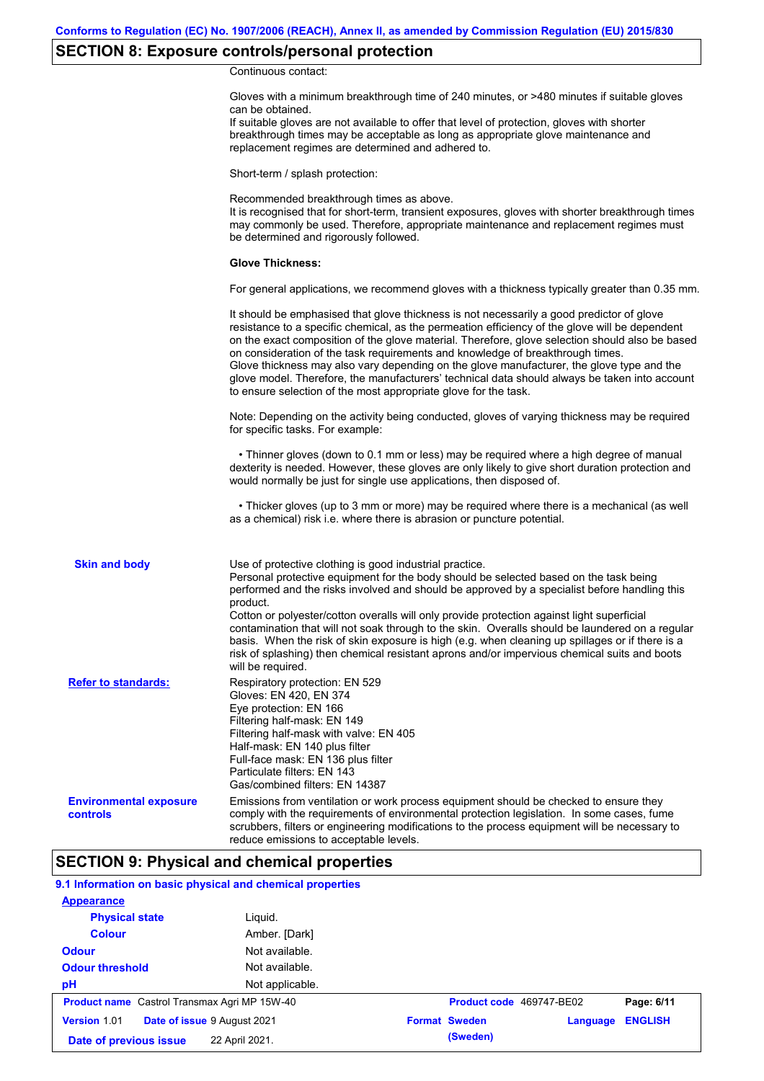# **SECTION 8: Exposure controls/personal protection**

Continuous contact:

|                                           | Gloves with a minimum breakthrough time of 240 minutes, or >480 minutes if suitable gloves<br>can be obtained.<br>If suitable gloves are not available to offer that level of protection, gloves with shorter<br>breakthrough times may be acceptable as long as appropriate glove maintenance and<br>replacement regimes are determined and adhered to.                                                                                                                                                                                                                                                                                                                              |
|-------------------------------------------|---------------------------------------------------------------------------------------------------------------------------------------------------------------------------------------------------------------------------------------------------------------------------------------------------------------------------------------------------------------------------------------------------------------------------------------------------------------------------------------------------------------------------------------------------------------------------------------------------------------------------------------------------------------------------------------|
|                                           | Short-term / splash protection:                                                                                                                                                                                                                                                                                                                                                                                                                                                                                                                                                                                                                                                       |
|                                           | Recommended breakthrough times as above.<br>It is recognised that for short-term, transient exposures, gloves with shorter breakthrough times<br>may commonly be used. Therefore, appropriate maintenance and replacement regimes must<br>be determined and rigorously followed.                                                                                                                                                                                                                                                                                                                                                                                                      |
|                                           | <b>Glove Thickness:</b>                                                                                                                                                                                                                                                                                                                                                                                                                                                                                                                                                                                                                                                               |
|                                           | For general applications, we recommend gloves with a thickness typically greater than 0.35 mm.                                                                                                                                                                                                                                                                                                                                                                                                                                                                                                                                                                                        |
|                                           | It should be emphasised that glove thickness is not necessarily a good predictor of glove<br>resistance to a specific chemical, as the permeation efficiency of the glove will be dependent<br>on the exact composition of the glove material. Therefore, glove selection should also be based<br>on consideration of the task requirements and knowledge of breakthrough times.<br>Glove thickness may also vary depending on the glove manufacturer, the glove type and the<br>glove model. Therefore, the manufacturers' technical data should always be taken into account<br>to ensure selection of the most appropriate glove for the task.                                     |
|                                           | Note: Depending on the activity being conducted, gloves of varying thickness may be required<br>for specific tasks. For example:                                                                                                                                                                                                                                                                                                                                                                                                                                                                                                                                                      |
|                                           | • Thinner gloves (down to 0.1 mm or less) may be required where a high degree of manual<br>dexterity is needed. However, these gloves are only likely to give short duration protection and<br>would normally be just for single use applications, then disposed of.                                                                                                                                                                                                                                                                                                                                                                                                                  |
|                                           | • Thicker gloves (up to 3 mm or more) may be required where there is a mechanical (as well<br>as a chemical) risk i.e. where there is abrasion or puncture potential.                                                                                                                                                                                                                                                                                                                                                                                                                                                                                                                 |
| <b>Skin and body</b>                      | Use of protective clothing is good industrial practice.<br>Personal protective equipment for the body should be selected based on the task being<br>performed and the risks involved and should be approved by a specialist before handling this<br>product.<br>Cotton or polyester/cotton overalls will only provide protection against light superficial<br>contamination that will not soak through to the skin. Overalls should be laundered on a regular<br>basis. When the risk of skin exposure is high (e.g. when cleaning up spillages or if there is a<br>risk of splashing) then chemical resistant aprons and/or impervious chemical suits and boots<br>will be required. |
| <b>Refer to standards:</b>                | Respiratory protection: EN 529<br>Gloves: EN 420, EN 374<br>Eye protection: EN 166<br>Filtering half-mask: EN 149<br>Filtering half-mask with valve: EN 405<br>Half-mask: EN 140 plus filter<br>Full-face mask: EN 136 plus filter<br>Particulate filters: EN 143<br>Gas/combined filters: EN 14387                                                                                                                                                                                                                                                                                                                                                                                   |
| <b>Environmental exposure</b><br>controls | Emissions from ventilation or work process equipment should be checked to ensure they<br>comply with the requirements of environmental protection legislation. In some cases, fume<br>scrubbers, filters or engineering modifications to the process equipment will be necessary to<br>reduce emissions to acceptable levels.                                                                                                                                                                                                                                                                                                                                                         |

### **SECTION 9: Physical and chemical properties**

### **9.1 Information on basic physical and chemical properties**

| <b>Appearance</b>                                   |                 |                      |          |                          |                |
|-----------------------------------------------------|-----------------|----------------------|----------|--------------------------|----------------|
| <b>Physical state</b>                               | Liguid.         |                      |          |                          |                |
| <b>Colour</b>                                       | Amber. [Dark]   |                      |          |                          |                |
| <b>Odour</b>                                        | Not available.  |                      |          |                          |                |
| <b>Odour threshold</b>                              | Not available.  |                      |          |                          |                |
| pH                                                  | Not applicable. |                      |          |                          |                |
| <b>Product name</b> Castrol Transmax Agri MP 15W-40 |                 |                      |          | Product code 469747-BE02 | Page: 6/11     |
| Date of issue 9 August 2021<br><b>Version 1.01</b>  |                 | <b>Format Sweden</b> |          | Language                 | <b>ENGLISH</b> |
| Date of previous issue                              | 22 April 2021.  |                      | (Sweden) |                          |                |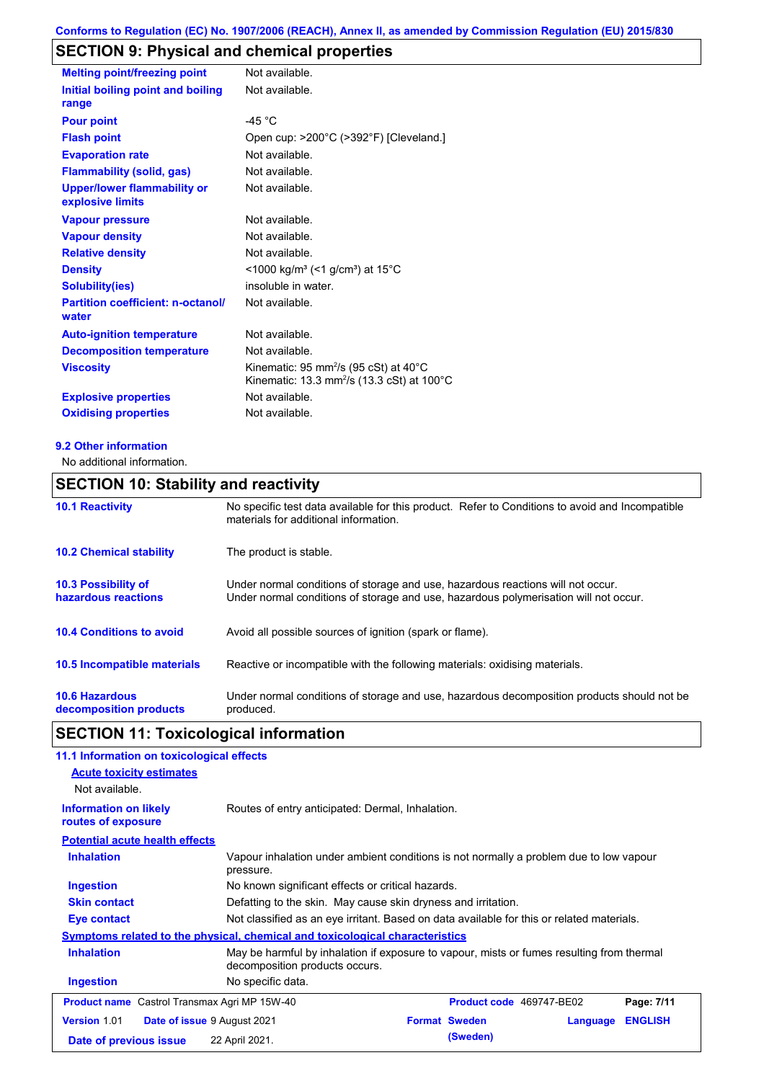# **SECTION 9: Physical and chemical properties**

| <b>Melting point/freezing point</b>                    | Not available.                                                                                                         |
|--------------------------------------------------------|------------------------------------------------------------------------------------------------------------------------|
| Initial boiling point and boiling<br>range             | Not available.                                                                                                         |
| <b>Pour point</b>                                      | -45 $^{\circ}$ C                                                                                                       |
| <b>Flash point</b>                                     | Open cup: >200°C (>392°F) [Cleveland.]                                                                                 |
| <b>Evaporation rate</b>                                | Not available.                                                                                                         |
| <b>Flammability (solid, gas)</b>                       | Not available.                                                                                                         |
| <b>Upper/lower flammability or</b><br>explosive limits | Not available.                                                                                                         |
| <b>Vapour pressure</b>                                 | Not available.                                                                                                         |
| <b>Vapour density</b>                                  | Not available.                                                                                                         |
| <b>Relative density</b>                                | Not available.                                                                                                         |
| <b>Density</b>                                         | $<$ 1000 kg/m <sup>3</sup> (<1 g/cm <sup>3</sup> ) at 15 <sup>°</sup> C                                                |
| <b>Solubility(ies)</b>                                 | insoluble in water.                                                                                                    |
| <b>Partition coefficient: n-octanol/</b><br>water      | Not available.                                                                                                         |
| <b>Auto-ignition temperature</b>                       | Not available.                                                                                                         |
| <b>Decomposition temperature</b>                       | Not available.                                                                                                         |
| <b>Viscosity</b>                                       | Kinematic: 95 mm <sup>2</sup> /s (95 cSt) at 40 $^{\circ}$ C<br>Kinematic: 13.3 mm <sup>2</sup> /s (13.3 cSt) at 100°C |
| <b>Explosive properties</b>                            | Not available.                                                                                                         |
| <b>Oxidising properties</b>                            | Not available.                                                                                                         |

### **9.2 Other information**

No additional information.

### **SECTION 10: Stability and reactivity**

| <b>10.1 Reactivity</b>                            | No specific test data available for this product. Refer to Conditions to avoid and Incompatible<br>materials for additional information.                                |
|---------------------------------------------------|-------------------------------------------------------------------------------------------------------------------------------------------------------------------------|
| <b>10.2 Chemical stability</b>                    | The product is stable.                                                                                                                                                  |
| <b>10.3 Possibility of</b><br>hazardous reactions | Under normal conditions of storage and use, hazardous reactions will not occur.<br>Under normal conditions of storage and use, hazardous polymerisation will not occur. |
| <b>10.4 Conditions to avoid</b>                   | Avoid all possible sources of ignition (spark or flame).                                                                                                                |
| <b>10.5 Incompatible materials</b>                | Reactive or incompatible with the following materials: oxidising materials.                                                                                             |
| <b>10.6 Hazardous</b><br>decomposition products   | Under normal conditions of storage and use, hazardous decomposition products should not be<br>produced.                                                                 |

# **SECTION 11: Toxicological information**

| 11.1 Information on toxicological effects                 |                                                                                                                             |  |                          |          |                |
|-----------------------------------------------------------|-----------------------------------------------------------------------------------------------------------------------------|--|--------------------------|----------|----------------|
| <b>Acute toxicity estimates</b>                           |                                                                                                                             |  |                          |          |                |
| Not available.                                            |                                                                                                                             |  |                          |          |                |
| <b>Information on likely</b><br>routes of exposure        | Routes of entry anticipated: Dermal, Inhalation.                                                                            |  |                          |          |                |
| <b>Potential acute health effects</b>                     |                                                                                                                             |  |                          |          |                |
| <b>Inhalation</b>                                         | Vapour inhalation under ambient conditions is not normally a problem due to low vapour<br>pressure.                         |  |                          |          |                |
| <b>Ingestion</b>                                          | No known significant effects or critical hazards.                                                                           |  |                          |          |                |
| <b>Skin contact</b>                                       | Defatting to the skin. May cause skin dryness and irritation.                                                               |  |                          |          |                |
| Eye contact                                               | Not classified as an eye irritant. Based on data available for this or related materials.                                   |  |                          |          |                |
|                                                           | Symptoms related to the physical, chemical and toxicological characteristics                                                |  |                          |          |                |
| <b>Inhalation</b>                                         | May be harmful by inhalation if exposure to vapour, mists or fumes resulting from thermal<br>decomposition products occurs. |  |                          |          |                |
| <b>Ingestion</b>                                          | No specific data.                                                                                                           |  |                          |          |                |
| <b>Product name</b> Castrol Transmax Agri MP 15W-40       |                                                                                                                             |  | Product code 469747-BE02 |          | Page: 7/11     |
| <b>Version 1.01</b><br><b>Date of issue 9 August 2021</b> |                                                                                                                             |  | <b>Format Sweden</b>     | Language | <b>ENGLISH</b> |
| Date of previous issue                                    | 22 April 2021.                                                                                                              |  | (Sweden)                 |          |                |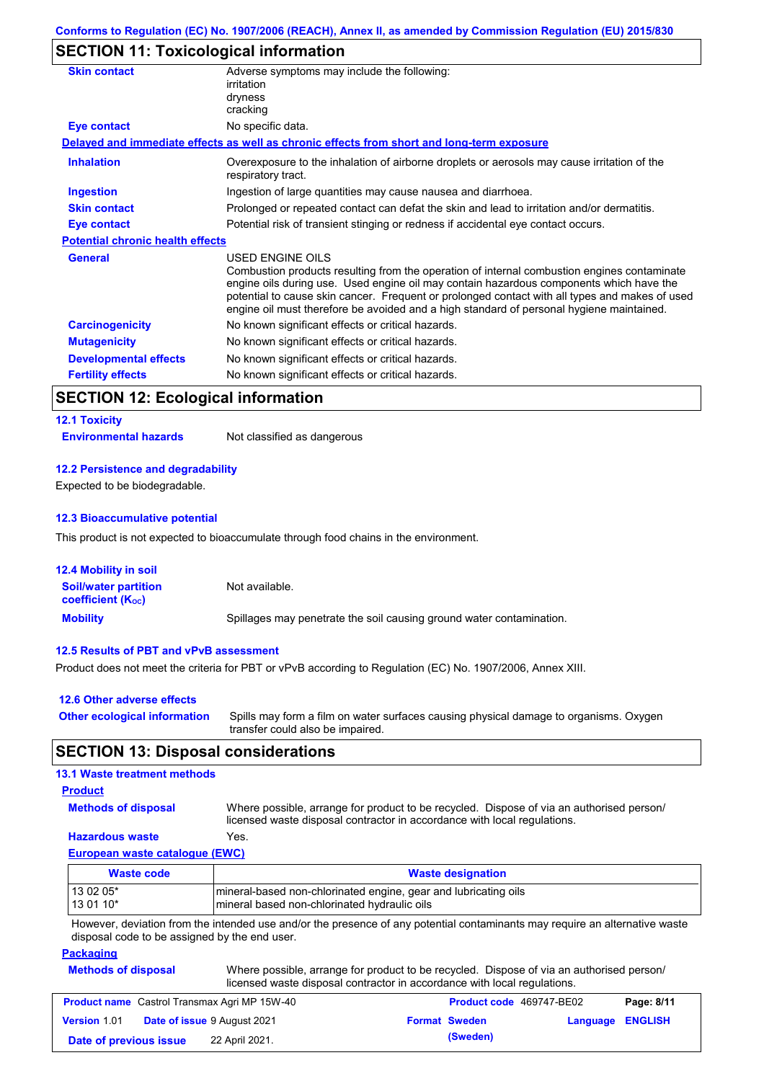# **SECTION 11: Toxicological information**

| Adverse symptoms may include the following:<br>irritation                                                                                                                                                                                                                                                                                                                                                |
|----------------------------------------------------------------------------------------------------------------------------------------------------------------------------------------------------------------------------------------------------------------------------------------------------------------------------------------------------------------------------------------------------------|
| dryness                                                                                                                                                                                                                                                                                                                                                                                                  |
| cracking                                                                                                                                                                                                                                                                                                                                                                                                 |
| No specific data.                                                                                                                                                                                                                                                                                                                                                                                        |
| Delayed and immediate effects as well as chronic effects from short and long-term exposure                                                                                                                                                                                                                                                                                                               |
| Overexposure to the inhalation of airborne droplets or aerosols may cause irritation of the<br>respiratory tract.                                                                                                                                                                                                                                                                                        |
| Ingestion of large quantities may cause nausea and diarrhoea.                                                                                                                                                                                                                                                                                                                                            |
| Prolonged or repeated contact can defat the skin and lead to irritation and/or dermatitis.                                                                                                                                                                                                                                                                                                               |
| Potential risk of transient stinging or redness if accidental eye contact occurs.                                                                                                                                                                                                                                                                                                                        |
| <b>Potential chronic health effects</b>                                                                                                                                                                                                                                                                                                                                                                  |
| USED ENGINE OILS<br>Combustion products resulting from the operation of internal combustion engines contaminate<br>engine oils during use. Used engine oil may contain hazardous components which have the<br>potential to cause skin cancer. Frequent or prolonged contact with all types and makes of used<br>engine oil must therefore be avoided and a high standard of personal hygiene maintained. |
| No known significant effects or critical hazards.                                                                                                                                                                                                                                                                                                                                                        |
| No known significant effects or critical hazards.                                                                                                                                                                                                                                                                                                                                                        |
| No known significant effects or critical hazards.                                                                                                                                                                                                                                                                                                                                                        |
| No known significant effects or critical hazards.                                                                                                                                                                                                                                                                                                                                                        |
|                                                                                                                                                                                                                                                                                                                                                                                                          |

### **SECTION 12: Ecological information**

#### **12.1 Toxicity**

**Environmental hazards** Not classified as dangerous

#### **12.2 Persistence and degradability**

Expected to be biodegradable.

#### **12.3 Bioaccumulative potential**

This product is not expected to bioaccumulate through food chains in the environment.

| <b>12.4 Mobility in soil</b>                            |                                                                      |
|---------------------------------------------------------|----------------------------------------------------------------------|
| <b>Soil/water partition</b><br><b>coefficient (Koc)</b> | Not available.                                                       |
| <b>Mobility</b>                                         | Spillages may penetrate the soil causing ground water contamination. |

#### **12.5 Results of PBT and vPvB assessment**

Product does not meet the criteria for PBT or vPvB according to Regulation (EC) No. 1907/2006, Annex XIII.

| 12.6 Other adverse effects          |                                                                                                                           |
|-------------------------------------|---------------------------------------------------------------------------------------------------------------------------|
| <b>Other ecological information</b> | Spills may form a film on water surfaces causing physical damage to organisms. Oxygen<br>transfer could also be impaired. |

### **SECTION 13: Disposal considerations**

### **13.1 Waste treatment methods**

### **Product**

**Methods of disposal**

Where possible, arrange for product to be recycled. Dispose of via an authorised person/

### **Hazardous waste** Yes.

licensed waste disposal contractor in accordance with local regulations.

### **European waste catalogue (EWC)**

| Waste code | <b>Waste designation</b>                                        |  |
|------------|-----------------------------------------------------------------|--|
| 13 02 05*  | mineral-based non-chlorinated engine, gear and lubricating oils |  |
| 13 01 10*  | mineral based non-chlorinated hydraulic oils                    |  |

However, deviation from the intended use and/or the presence of any potential contaminants may require an alternative waste disposal code to be assigned by the end user.

### **Packaging**

| <b>Methods of disposal</b> | Where possible, arrange for product to be recycled. Dispose of via an authorised person/<br>licensed waste disposal contractor in accordance with local regulations. |
|----------------------------|----------------------------------------------------------------------------------------------------------------------------------------------------------------------|
|                            |                                                                                                                                                                      |

| <b>Product name</b> Castrol Transmax Agri MP 15W-40 |  |                                    | <b>Product code</b> 469747-BE02 |                      | Page: 8/11              |  |
|-----------------------------------------------------|--|------------------------------------|---------------------------------|----------------------|-------------------------|--|
| <b>Version 1.01</b>                                 |  | <b>Date of issue 9 August 2021</b> |                                 | <b>Format Sweden</b> | <b>Language ENGLISH</b> |  |
| Date of previous issue                              |  | 22 April 2021.                     |                                 | (Sweden)             |                         |  |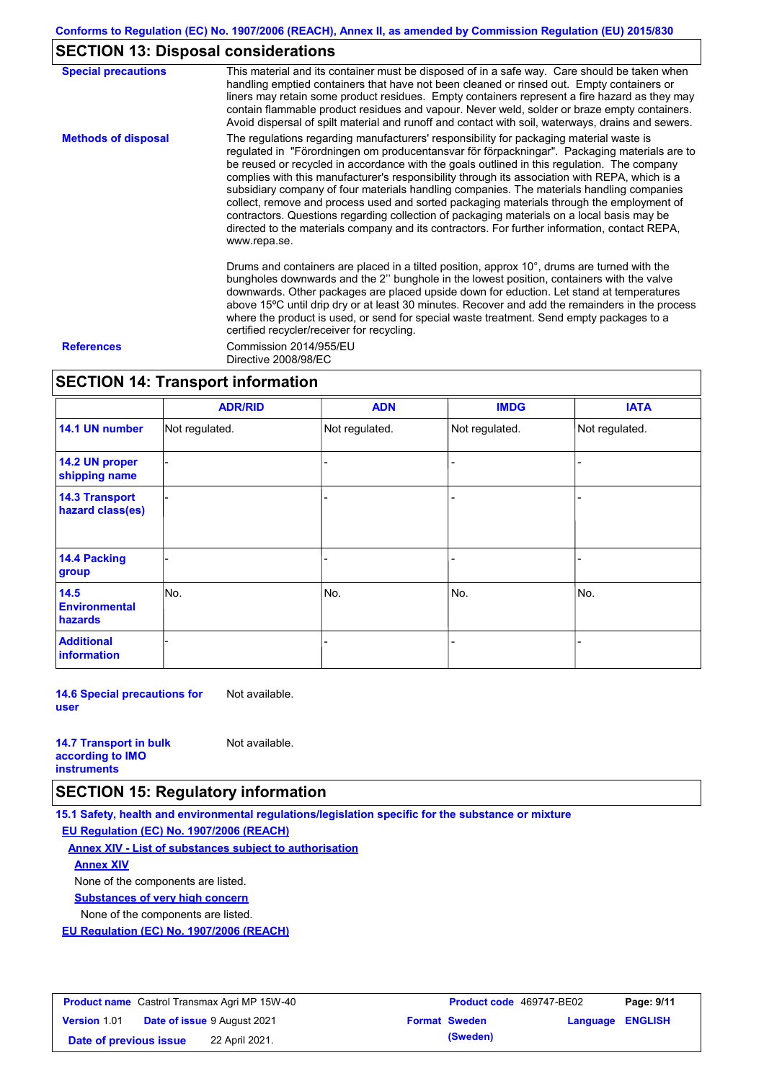# **SECTION 13: Disposal considerations**

| <b>Special precautions</b> | This material and its container must be disposed of in a safe way. Care should be taken when<br>handling emptied containers that have not been cleaned or rinsed out. Empty containers or<br>liners may retain some product residues. Empty containers represent a fire hazard as they may<br>contain flammable product residues and vapour. Never weld, solder or braze empty containers.<br>Avoid dispersal of spilt material and runoff and contact with soil, waterways, drains and sewers.                                                                                                                                                                                                                                                                                                   |
|----------------------------|---------------------------------------------------------------------------------------------------------------------------------------------------------------------------------------------------------------------------------------------------------------------------------------------------------------------------------------------------------------------------------------------------------------------------------------------------------------------------------------------------------------------------------------------------------------------------------------------------------------------------------------------------------------------------------------------------------------------------------------------------------------------------------------------------|
| <b>Methods of disposal</b> | The regulations regarding manufacturers' responsibility for packaging material waste is<br>regulated in "Förordningen om producentansvar för förpackningar". Packaging materials are to<br>be reused or recycled in accordance with the goals outlined in this regulation. The company<br>complies with this manufacturer's responsibility through its association with REPA, which is a<br>subsidiary company of four materials handling companies. The materials handling companies<br>collect, remove and process used and sorted packaging materials through the employment of<br>contractors. Questions regarding collection of packaging materials on a local basis may be<br>directed to the materials company and its contractors. For further information, contact REPA,<br>www.repa.se. |
|                            | Drums and containers are placed in a tilted position, approx 10°, drums are turned with the<br>bungholes downwards and the 2" bunghole in the lowest position, containers with the valve<br>downwards. Other packages are placed upside down for eduction. Let stand at temperatures<br>above 15°C until drip dry or at least 30 minutes. Recover and add the remainders in the process<br>where the product is used, or send for special waste treatment. Send empty packages to a<br>certified recycler/receiver for recycling.                                                                                                                                                                                                                                                                 |
| <b>References</b>          | Commission 2014/955/EU<br>Directive 2008/98/EC                                                                                                                                                                                                                                                                                                                                                                                                                                                                                                                                                                                                                                                                                                                                                    |

### **SECTION 14: Transport information**

|                                           | <b>ADR/RID</b> | <b>ADN</b>     | <b>IMDG</b>    | <b>IATA</b>    |
|-------------------------------------------|----------------|----------------|----------------|----------------|
| 14.1 UN number                            | Not regulated. | Not regulated. | Not regulated. | Not regulated. |
| 14.2 UN proper<br>shipping name           |                |                |                |                |
| <b>14.3 Transport</b><br>hazard class(es) |                |                |                | ÷.             |
| 14.4 Packing<br>group                     |                |                |                |                |
| 14.5<br><b>Environmental</b><br>hazards   | No.            | No.            | No.            | No.            |
| <b>Additional</b><br><b>information</b>   |                |                |                |                |

**14.6 Special precautions for user** Not available.

| <b>14.7 Transport in bulk</b> | Not available. |
|-------------------------------|----------------|
| according to <b>IMO</b>       |                |
| <b>instruments</b>            |                |

### **SECTION 15: Regulatory information**

**15.1 Safety, health and environmental regulations/legislation specific for the substance or mixture**

#### **EU Regulation (EC) No. 1907/2006 (REACH)**

**Annex XIV - List of substances subject to authorisation**

### **Annex XIV**

None of the components are listed.

**Substances of very high concern**

None of the components are listed.

**EU Regulation (EC) No. 1907/2006 (REACH)**

|                        | <b>Product name</b> Castrol Transmax Agri MP 15W-40 | <b>Product code</b> 469747-BE02 |                         | Page: 9/11 |
|------------------------|-----------------------------------------------------|---------------------------------|-------------------------|------------|
| <b>Version 1.01</b>    | <b>Date of issue 9 August 2021</b>                  | <b>Format Sweden</b>            | <b>Language ENGLISH</b> |            |
| Date of previous issue | 22 April 2021.                                      | (Sweden)                        |                         |            |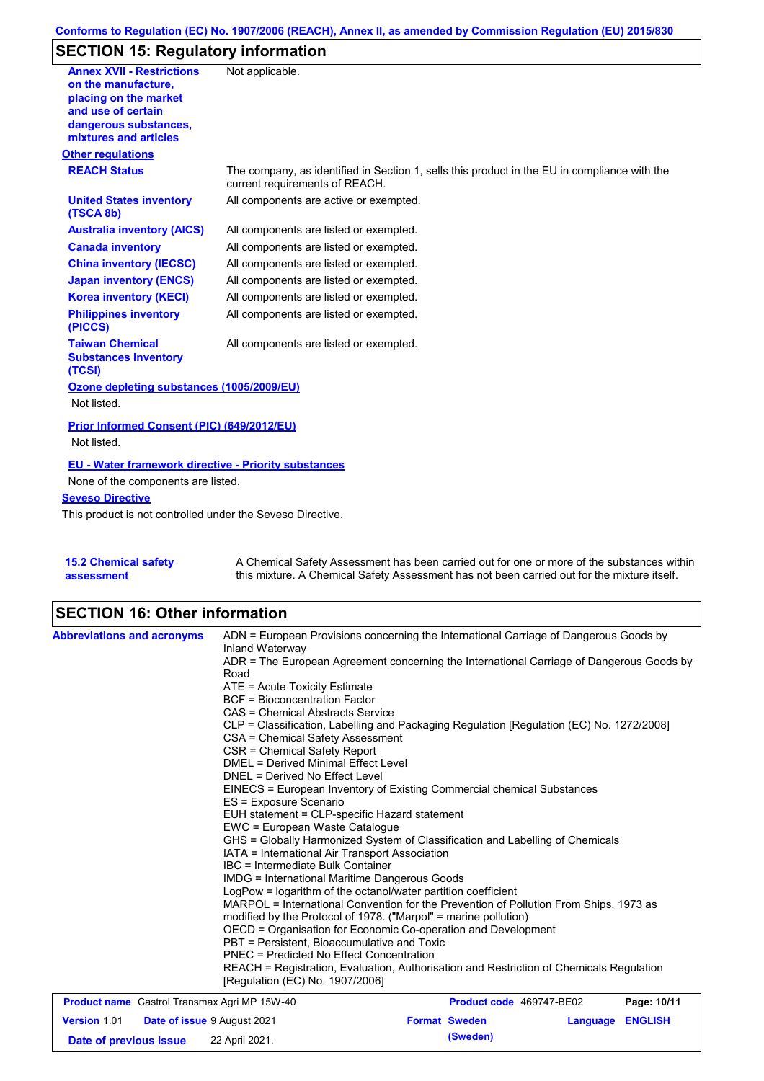# **SECTION 15: Regulatory information**

| <b>Annex XVII - Restrictions</b>                                | Not applicable.                                                                                                                |
|-----------------------------------------------------------------|--------------------------------------------------------------------------------------------------------------------------------|
| on the manufacture.                                             |                                                                                                                                |
| placing on the market                                           |                                                                                                                                |
| and use of certain<br>dangerous substances,                     |                                                                                                                                |
| mixtures and articles                                           |                                                                                                                                |
| <b>Other regulations</b>                                        |                                                                                                                                |
| <b>REACH Status</b>                                             | The company, as identified in Section 1, sells this product in the EU in compliance with the<br>current requirements of REACH. |
| <b>United States inventory</b><br>(TSCA 8b)                     | All components are active or exempted.                                                                                         |
| <b>Australia inventory (AICS)</b>                               | All components are listed or exempted.                                                                                         |
| <b>Canada inventory</b>                                         | All components are listed or exempted.                                                                                         |
| <b>China inventory (IECSC)</b>                                  | All components are listed or exempted.                                                                                         |
| <b>Japan inventory (ENCS)</b>                                   | All components are listed or exempted.                                                                                         |
| <b>Korea inventory (KECI)</b>                                   | All components are listed or exempted.                                                                                         |
| <b>Philippines inventory</b><br>(PICCS)                         | All components are listed or exempted.                                                                                         |
| <b>Taiwan Chemical</b><br><b>Substances Inventory</b><br>(TCSI) | All components are listed or exempted.                                                                                         |
| Ozone depleting substances (1005/2009/EU)                       |                                                                                                                                |
| Not listed.                                                     |                                                                                                                                |
| Prior Informed Consent (PIC) (649/2012/EU)                      |                                                                                                                                |
| Not listed.                                                     |                                                                                                                                |
| EU - Water framework directive - Priority substances            |                                                                                                                                |
| None of the components are listed.                              |                                                                                                                                |
| <b>Seveso Directive</b>                                         |                                                                                                                                |
| This product is not controlled under the Seveso Directive.      |                                                                                                                                |
|                                                                 |                                                                                                                                |
|                                                                 |                                                                                                                                |

| <b>15.2 Chemical safety</b> | A Chemical Safety Assessment has been carried out for one or more of the substances within  |
|-----------------------------|---------------------------------------------------------------------------------------------|
| assessment                  | this mixture. A Chemical Safety Assessment has not been carried out for the mixture itself. |

# **SECTION 16: Other information**

| <b>Abbreviations and acronyms</b>                         | ADN = European Provisions concerning the International Carriage of Dangerous Goods by<br>Inland Waterway<br>ADR = The European Agreement concerning the International Carriage of Dangerous Goods by |                          |          |                |  |                                                                                                                                                                                                                                                                                                                                                                                                            |
|-----------------------------------------------------------|------------------------------------------------------------------------------------------------------------------------------------------------------------------------------------------------------|--------------------------|----------|----------------|--|------------------------------------------------------------------------------------------------------------------------------------------------------------------------------------------------------------------------------------------------------------------------------------------------------------------------------------------------------------------------------------------------------------|
|                                                           | Road                                                                                                                                                                                                 |                          |          |                |  |                                                                                                                                                                                                                                                                                                                                                                                                            |
|                                                           | ATE = Acute Toxicity Estimate                                                                                                                                                                        |                          |          |                |  |                                                                                                                                                                                                                                                                                                                                                                                                            |
|                                                           | <b>BCF</b> = Bioconcentration Factor<br>CAS = Chemical Abstracts Service                                                                                                                             |                          |          |                |  |                                                                                                                                                                                                                                                                                                                                                                                                            |
|                                                           |                                                                                                                                                                                                      |                          |          |                |  |                                                                                                                                                                                                                                                                                                                                                                                                            |
|                                                           | CLP = Classification, Labelling and Packaging Regulation [Regulation (EC) No. 1272/2008]                                                                                                             |                          |          |                |  |                                                                                                                                                                                                                                                                                                                                                                                                            |
|                                                           | CSA = Chemical Safety Assessment                                                                                                                                                                     |                          |          |                |  |                                                                                                                                                                                                                                                                                                                                                                                                            |
|                                                           | CSR = Chemical Safety Report                                                                                                                                                                         |                          |          |                |  |                                                                                                                                                                                                                                                                                                                                                                                                            |
|                                                           | DMEL = Derived Minimal Effect Level                                                                                                                                                                  |                          |          |                |  |                                                                                                                                                                                                                                                                                                                                                                                                            |
|                                                           | DNEL = Derived No Effect Level<br>EINECS = European Inventory of Existing Commercial chemical Substances                                                                                             |                          |          |                |  |                                                                                                                                                                                                                                                                                                                                                                                                            |
|                                                           |                                                                                                                                                                                                      |                          |          |                |  | ES = Exposure Scenario<br>EUH statement = CLP-specific Hazard statement<br>EWC = European Waste Catalogue<br>GHS = Globally Harmonized System of Classification and Labelling of Chemicals<br>IATA = International Air Transport Association<br>IBC = Intermediate Bulk Container<br><b>IMDG = International Maritime Dangerous Goods</b><br>LogPow = logarithm of the octanol/water partition coefficient |
|                                                           |                                                                                                                                                                                                      |                          |          |                |  |                                                                                                                                                                                                                                                                                                                                                                                                            |
|                                                           |                                                                                                                                                                                                      |                          |          |                |  |                                                                                                                                                                                                                                                                                                                                                                                                            |
|                                                           |                                                                                                                                                                                                      |                          |          |                |  |                                                                                                                                                                                                                                                                                                                                                                                                            |
|                                                           |                                                                                                                                                                                                      |                          |          |                |  |                                                                                                                                                                                                                                                                                                                                                                                                            |
|                                                           |                                                                                                                                                                                                      |                          |          |                |  |                                                                                                                                                                                                                                                                                                                                                                                                            |
|                                                           |                                                                                                                                                                                                      |                          |          |                |  |                                                                                                                                                                                                                                                                                                                                                                                                            |
|                                                           | MARPOL = International Convention for the Prevention of Pollution From Ships, 1973 as<br>modified by the Protocol of 1978. ("Marpol" = marine pollution)                                             |                          |          |                |  |                                                                                                                                                                                                                                                                                                                                                                                                            |
|                                                           |                                                                                                                                                                                                      |                          |          |                |  |                                                                                                                                                                                                                                                                                                                                                                                                            |
|                                                           | OECD = Organisation for Economic Co-operation and Development                                                                                                                                        |                          |          |                |  |                                                                                                                                                                                                                                                                                                                                                                                                            |
|                                                           | PBT = Persistent. Bioaccumulative and Toxic                                                                                                                                                          |                          |          |                |  |                                                                                                                                                                                                                                                                                                                                                                                                            |
|                                                           | <b>PNEC = Predicted No Effect Concentration</b>                                                                                                                                                      |                          |          |                |  |                                                                                                                                                                                                                                                                                                                                                                                                            |
|                                                           | REACH = Registration, Evaluation, Authorisation and Restriction of Chemicals Regulation                                                                                                              |                          |          |                |  |                                                                                                                                                                                                                                                                                                                                                                                                            |
|                                                           | [Requlation (EC) No. 1907/2006]                                                                                                                                                                      |                          |          |                |  |                                                                                                                                                                                                                                                                                                                                                                                                            |
| <b>Product name</b> Castrol Transmax Agri MP 15W-40       |                                                                                                                                                                                                      | Product code 469747-BE02 |          | Page: 10/11    |  |                                                                                                                                                                                                                                                                                                                                                                                                            |
| <b>Version 1.01</b><br><b>Date of issue 9 August 2021</b> |                                                                                                                                                                                                      | <b>Format Sweden</b>     | Language | <b>ENGLISH</b> |  |                                                                                                                                                                                                                                                                                                                                                                                                            |
| Date of previous issue                                    | 22 April 2021.                                                                                                                                                                                       | (Sweden)                 |          |                |  |                                                                                                                                                                                                                                                                                                                                                                                                            |